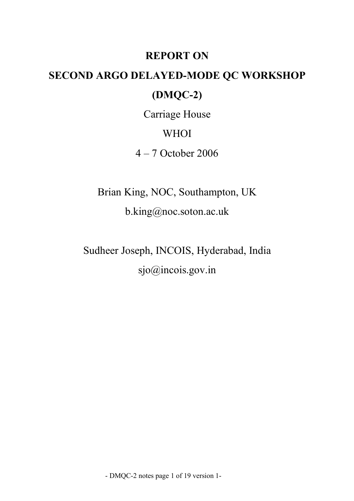## **REPORT ON**

# **SECOND ARGO DELAYED-MODE QC WORKSHOP (DMQC-2)**

Carriage House

WHOI

4 – 7 October 2006

Brian King, NOC, Southampton, UK b.king@noc.soton.ac.uk

Sudheer Joseph, INCOIS, Hyderabad, India sjo@incois.gov.in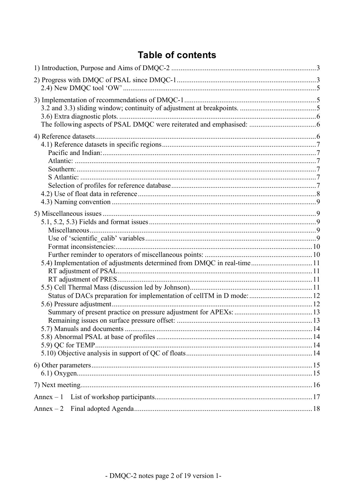## **Table of contents**

| 5.4) Implementation of adjustments determined from DMQC in real-time 11<br>Status of DACs preparation for implementation of cellTM in D mode:  12 |  |
|---------------------------------------------------------------------------------------------------------------------------------------------------|--|
|                                                                                                                                                   |  |
|                                                                                                                                                   |  |
| $Annex-1$                                                                                                                                         |  |
|                                                                                                                                                   |  |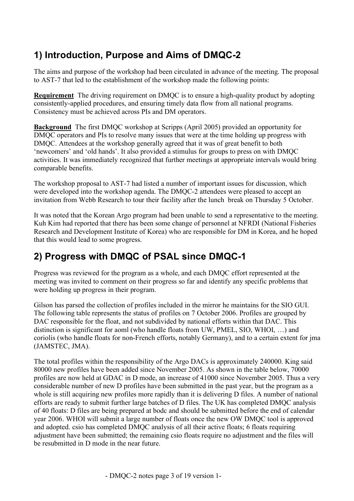## **1) Introduction, Purpose and Aims of DMQC-2**

The aims and purpose of the workshop had been circulated in advance of the meeting. The proposal to AST-7 that led to the establishment of the workshop made the following points:

**Requirement** The driving requirement on DMQC is to ensure a high-quality product by adopting consistently-applied procedures, and ensuring timely data flow from all national programs. Consistency must be achieved across PIs and DM operators.

**Background** The first DMQC workshop at Scripps (April 2005) provided an opportunity for DMQC operators and PIs to resolve many issues that were at the time holding up progress with DMQC. Attendees at the workshop generally agreed that it was of great benefit to both 'newcomers' and 'old hands'. It also provided a stimulus for groups to press on with DMQC activities. It was immediately recognized that further meetings at appropriate intervals would bring comparable benefits.

The workshop proposal to AST-7 had listed a number of important issues for discussion, which were developed into the workshop agenda. The DMQC-2 attendees were pleased to accept an invitation from Webb Research to tour their facility after the lunch break on Thursday 5 October.

It was noted that the Korean Argo program had been unable to send a representative to the meeting. Kuh Kim had reported that there has been some change of personnel at NFRDI (National Fisheries Research and Development Institute of Korea) who are responsible for DM in Korea, and he hoped that this would lead to some progress.

## **2) Progress with DMQC of PSAL since DMQC-1**

Progress was reviewed for the program as a whole, and each DMQC effort represented at the meeting was invited to comment on their progress so far and identify any specific problems that were holding up progress in their program.

Gilson has parsed the collection of profiles included in the mirror he maintains for the SIO GUI. The following table represents the status of profiles on 7 October 2006. Profiles are grouped by DAC responsible for the float, and not subdivided by national efforts within that DAC. This distinction is significant for aoml (who handle floats from UW, PMEL, SIO, WHOI, …) and coriolis (who handle floats for non-French efforts, notably Germany), and to a certain extent for jma (JAMSTEC, JMA).

The total profiles within the responsibility of the Argo DACs is approximately 240000. King said 80000 new profiles have been added since November 2005. As shown in the table below, 70000 profiles are now held at GDAC in D mode, an increase of 41000 since November 2005. Thus a very considerable number of new D profiles have been submitted in the past year, but the program as a whole is still acquiring new profiles more rapidly than it is delivering D files. A number of national efforts are ready to submit further large batches of D files. The UK has completed DMQC analysis of 40 floats: D files are being prepared at bodc and should be submitted before the end of calendar year 2006. WHOI will submit a large number of floats once the new OW DMQC tool is approved and adopted. csio has completed DMQC analysis of all their active floats; 6 floats requiring adjustment have been submitted; the remaining csio floats require no adjustment and the files will be resubmitted in D mode in the near future.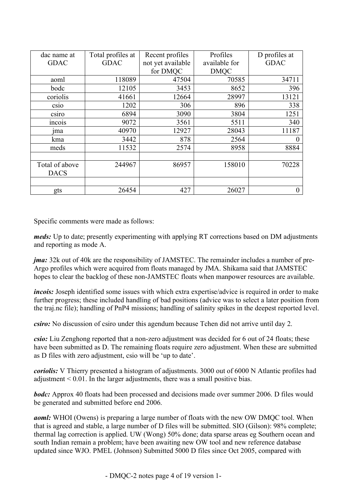| dac name at    | Total profiles at | Recent profiles   | Profiles      | D profiles at  |
|----------------|-------------------|-------------------|---------------|----------------|
| <b>GDAC</b>    | <b>GDAC</b>       | not yet available | available for | <b>GDAC</b>    |
|                |                   | for DMQC          | <b>DMOC</b>   |                |
| aoml           | 118089            | 47504             | 70585         | 34711          |
| bodc           | 12105             | 3453              | 8652          | 396            |
| coriolis       | 41661             | 12664             | 28997         | 13121          |
| CS1O           | 1202              | 306               | 896           | 338            |
| csiro          | 6894              | 3090              | 3804          | 1251           |
| <i>ncois</i>   | 9072              | 3561              | 5511          | 340            |
| $\mathop{Im}a$ | 40970             | 12927             | 28043         | 11187          |
| kma            | 3442              | 878               | 2564          | $\overline{0}$ |
| meds           | 11532             | 2574              | 8958          | 8884           |
|                |                   |                   |               |                |
| Total of above | 244967            | 86957             | 158010        | 70228          |
| <b>DACS</b>    |                   |                   |               |                |
|                |                   |                   |               |                |
| gts            | 26454             | 427               | 26027         | $\overline{0}$ |

Specific comments were made as follows:

*meds:* Up to date; presently experimenting with applying RT corrections based on DM adjustments and reporting as mode A.

*jma:* 32k out of 40k are the responsibility of JAMSTEC. The remainder includes a number of pre-Argo profiles which were acquired from floats managed by JMA. Shikama said that JAMSTEC hopes to clear the backlog of these non-JAMSTEC floats when manpower resources are available.

*incois:* Joseph identified some issues with which extra expertise/advice is required in order to make further progress; these included handling of bad positions (advice was to select a later position from the traj.nc file); handling of PnP4 missions; handling of salinity spikes in the deepest reported level.

*csiro:* No discussion of csiro under this agendum because Tchen did not arrive until day 2.

*csio:* Liu Zenghong reported that a non-zero adjustment was decided for 6 out of 24 floats; these have been submitted as D. The remaining floats require zero adjustment. When these are submitted as D files with zero adjustment, csio will be 'up to date'.

*coriolis:* V Thierry presented a histogram of adjustments. 3000 out of 6000 N Atlantic profiles had adjustment  $\leq 0.01$ . In the larger adjustments, there was a small positive bias.

*bodc*: Approx 40 floats had been processed and decisions made over summer 2006. D files would be generated and submitted before end 2006.

*aoml*: WHOI (Owens) is preparing a large number of floats with the new OW DMQC tool. When that is agreed and stable, a large number of D files will be submitted. SIO (Gilson): 98% complete; thermal lag correction is applied. UW (Wong) 50% done; data sparse areas eg Southern ocean and south Indian remain a problem; have been awaiting new OW tool and new reference database updated since WJO. PMEL (Johnson) Submitted 5000 D files since Oct 2005, compared with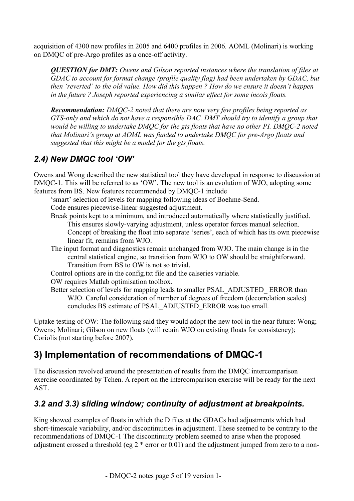acquisition of 4300 new profiles in 2005 and 6400 profiles in 2006. AOML (Molinari) is working on DMQC of pre-Argo profiles as a once-off activity.

*QUESTION for DMT: Owens and Gilson reported instances where the translation of files at GDAC to account for format change (profile quality flag) had been undertaken by GDAC, but then 'reverted' to the old value. How did this happen ? How do we ensure it doesn't happen in the future ? Joseph reported experiencing a similar effect for some incois floats.*

*Recommendation: DMQC-2 noted that there are now very few profiles being reported as GTS-only and which do not have a responsible DAC. DMT should try to identify a group that would be willing to undertake DMQC for the gts floats that have no other PI. DMQC-2 noted that Molinari's group at AOML was funded to undertake DMQC for pre-Argo floats and suggested that this might be a model for the gts floats.*

### *2.4) New DMQC tool 'OW'*

Owens and Wong described the new statistical tool they have developed in response to discussion at DMQC-1. This will be referred to as 'OW'. The new tool is an evolution of WJO, adopting some features from BS. New features recommended by DMQC-1 include

'smart' selection of levels for mapping following ideas of Boehme-Send.

Code ensures piecewise-linear suggested adjustment.

Break points kept to a minimum, and introduced automatically where statistically justified.

This ensures slowly-varying adjustment, unless operator forces manual selection.

Concept of breaking the float into separate 'series', each of which has its own piecewise linear fit, remains from WJO.

The input format and diagnostics remain unchanged from WJO. The main change is in the central statistical engine, so transition from WJO to OW should be straightforward. Transition from BS to OW is not so trivial.

Control options are in the config.txt file and the calseries variable.

OW requires Matlab optimisation toolbox.

Better selection of levels for mapping leads to smaller PSAL\_ADJUSTED\_ ERROR than WJO. Careful consideration of number of degrees of freedom (decorrelation scales) concludes BS estimate of PSAL\_ADJUSTED\_ERROR was too small.

Uptake testing of OW: The following said they would adopt the new tool in the near future: Wong; Owens; Molinari; Gilson on new floats (will retain WJO on existing floats for consistency); Coriolis (not starting before 2007).

## **3) Implementation of recommendations of DMQC-1**

The discussion revolved around the presentation of results from the DMQC intercomparison exercise coordinated by Tchen. A report on the intercomparison exercise will be ready for the next AST.

### *3.2 and 3.3) sliding window; continuity of adjustment at breakpoints.*

King showed examples of floats in which the D files at the GDACs had adjustments which had short-timescale variability, and/or discontinuities in adjustment. These seemed to be contrary to the recommendations of DMQC-1 The discontinuity problem seemed to arise when the proposed adjustment crossed a threshold (eg 2 \* error or 0.01) and the adjustment jumped from zero to a non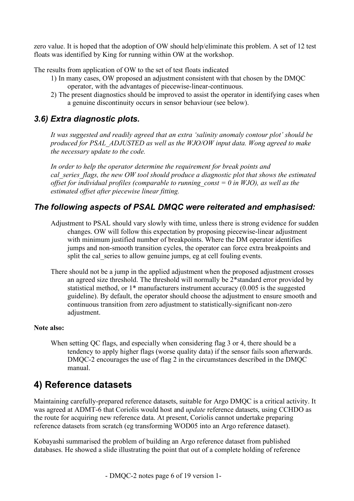zero value. It is hoped that the adoption of OW should help/eliminate this problem. A set of 12 test floats was identified by King for running within OW at the workshop.

The results from application of OW to the set of test floats indicated

- 1) In many cases, OW proposed an adjustment consistent with that chosen by the DMQC operator, with the advantages of piecewise-linear-continuous.
- 2) The present diagnostics should be improved to assist the operator in identifying cases when a genuine discontinuity occurs in sensor behaviour (see below).

### *3.6) Extra diagnostic plots.*

*It was suggested and readily agreed that an extra 'salinity anomaly contour plot' should be produced for PSAL\_ADJUSTED as well as the WJO/OW input data. Wong agreed to make the necessary update to the code.*

*In order to help the operator determine the requirement for break points and cal\_series\_flags, the new OW tool should produce a diagnostic plot that shows the estimated offset for individual profiles (comparable to running\_const = 0 in WJO), as well as the estimated offset after piecewise linear fitting.*

#### *The following aspects of PSAL DMQC were reiterated and emphasised:*

- Adjustment to PSAL should vary slowly with time, unless there is strong evidence for sudden changes. OW will follow this expectation by proposing piecewise-linear adjustment with minimum justified number of breakpoints. Where the DM operator identifies jumps and non-smooth transition cycles, the operator can force extra breakpoints and split the cal series to allow genuine jumps, eg at cell fouling events.
- There should not be a jump in the applied adjustment when the proposed adjustment crosses an agreed size threshold. The threshold will normally be 2\*standard error provided by statistical method, or 1\* manufacturers instrument accuracy (0.005 is the suggested guideline). By default, the operator should choose the adjustment to ensure smooth and continuous transition from zero adjustment to statistically-significant non-zero adjustment.

#### **Note also:**

When setting QC flags, and especially when considering flag 3 or 4, there should be a tendency to apply higher flags (worse quality data) if the sensor fails soon afterwards. DMQC-2 encourages the use of flag 2 in the circumstances described in the DMQC manual.

### **4) Reference datasets**

Maintaining carefully-prepared reference datasets, suitable for Argo DMQC is a critical activity. It was agreed at ADMT-6 that Coriolis would host and *update* reference datasets, using CCHDO as the route for acquiring new reference data. At present, Coriolis cannot undertake preparing reference datasets from scratch (eg transforming WOD05 into an Argo reference dataset).

Kobayashi summarised the problem of building an Argo reference dataset from published databases. He showed a slide illustrating the point that out of a complete holding of reference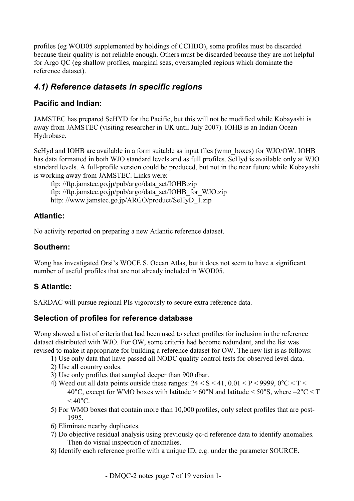profiles (eg WOD05 supplemented by holdings of CCHDO), some profiles must be discarded because their quality is not reliable enough. Others must be discarded because they are not helpful for Argo QC (eg shallow profiles, marginal seas, oversampled regions which dominate the reference dataset).

### *4.1) Reference datasets in specific regions*

#### **Pacific and Indian:**

JAMSTEC has prepared SeHYD for the Pacific, but this will not be modified while Kobayashi is away from JAMSTEC (visiting researcher in UK until July 2007). IOHB is an Indian Ocean Hydrobase.

SeHyd and IOHB are available in a form suitable as input files (wmo\_boxes) for WJO/OW. IOHB has data formatted in both WJO standard levels and as full profiles. SeHyd is available only at WJO standard levels. A full-profile version could be produced, but not in the near future while Kobayashi is working away from JAMSTEC. Links were:

ftp: //ftp.jamstec.go.jp/pub/argo/data\_set/IOHB.zip ftp: //ftp.jamstec.go.jp/pub/argo/data\_set/IOHB\_for\_WJO.zip http: //www.jamstec.go.jp/ARGO/product/SeHyD\_1.zip

#### **Atlantic:**

No activity reported on preparing a new Atlantic reference dataset.

#### **Southern:**

Wong has investigated Orsi's WOCE S. Ocean Atlas, but it does not seem to have a significant number of useful profiles that are not already included in WOD05.

#### **S Atlantic:**

SARDAC will pursue regional PIs vigorously to secure extra reference data.

#### **Selection of profiles for reference database**

Wong showed a list of criteria that had been used to select profiles for inclusion in the reference dataset distributed with WJO. For OW, some criteria had become redundant, and the list was revised to make it appropriate for building a reference dataset for OW. The new list is as follows:

- 1) Use only data that have passed all NODC quality control tests for observed level data.
- 2) Use all country codes.
- 3) Use only profiles that sampled deeper than 900 dbar.
- 4) Weed out all data points outside these ranges:  $24 \le S \le 41$ ,  $0.01 \le P \le 9999$ ,  $0^{\circ}C \le T \le 41$ 40°C, except for WMO boxes with latitude  $> 60°N$  and latitude  $< 50°S$ , where  $-2°C < T$  $<$  40 $^{\circ}$ C.
- 5) For WMO boxes that contain more than 10,000 profiles, only select profiles that are post-1995.
- 6) Eliminate nearby duplicates.
- 7) Do objective residual analysis using previously qc-d reference data to identify anomalies. Then do visual inspection of anomalies.
- 8) Identify each reference profile with a unique ID, e.g. under the parameter SOURCE.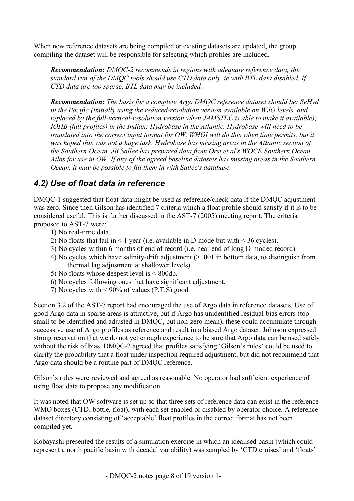When new reference datasets are being compiled or existing datasets are updated, the group compiling the dataset will be responsible for selecting which profiles are included.

*Recommendation: DMQC-2 recommends in regions with adequate reference data, the standard run of the DMQC tools should use CTD data only, ie with BTL data disabled. If CTD data are too sparse, BTL data may be included.*

*Recommendation: The basis for a complete Argo DMQC reference dataset should be: SeHyd in the Pacific (initially using the reduced-resolution version available on WJO levels, and replaced by the full-vertical-resolution version when JAMSTEC is able to make it available); IOHB (full profiles) in the Indian; Hydrobase in the Atlantic. Hydrobase will need to be translated into the correct input format for OW. WHOI will do this when time permits, but it was hoped this was not a huge task. Hydrobase has missing areas in the Atlantic section of the Southern Ocean. JB Sallee has prepared data from Orsi et al's WOCE Southern Ocean Atlas for use in OW. If any of the agreed baseline datasets has missing areas in the Southern Ocean, it may be possible to fill them in with Sallee's database.*

#### *4.2) Use of float data in reference*

DMQC-1 suggested that float data might be used as reference/check data if the DMQC adjustment was zero. Since then Gilson has identified 7 criteria which a float profile should satisfy if it is to be considered useful. This is further discussed in the AST-7 (2005) meeting report. The criteria proposed to AST-7 were:

- 1) No real-time data.
- 2) No floats that fail in  $\leq 1$  year (i.e. available in D-mode but with  $\leq 36$  cycles).
- 3) No cycles within 6 months of end of record (i.e. near end of long D-moded record).
- 4) No cycles which have salinity-drift adjustment (> .001 in bottom data, to distinguish from thermal lag adjustment at shallower levels).
- 5) No floats whose deepest level is < 800db.
- 6) No cycles following ones that have significant adjustment.
- 7) No cycles with  $\leq 90\%$  of values (P,T,S) good.

Section 3.2 of the AST-7 report had encouraged the use of Argo data in reference datasets. Use of good Argo data in sparse areas is attractive, but if Argo has unidentified residual bias errors (too small to be identified and adjusted in DMQC, but non-zero mean), these could accumulate through successive use of Argo profiles as reference and result in a biased Argo dataset. Johnson expressed strong reservation that we do not yet enough experience to be sure that Argo data can be used safely without the risk of bias. DMQC-2 agreed that profiles satisfying 'Gilson's rules' could be used to clarify the probability that a float under inspection required adjustment, but did not recommend that Argo data should be a routine part of DMQC reference.

Gilson's rules were reviewed and agreed as reasonable. No operator had sufficient experience of using float data to propose any modification.

It was noted that OW software is set up so that three sets of reference data can exist in the reference WMO boxes (CTD, bottle, float), with each set enabled or disabled by operator choice. A reference dataset directory consisting of 'acceptable' float profiles in the correct format has not been compiled yet.

Kobayashi presented the results of a simulation exercise in which an idealised basin (which could represent a north pacific basin with decadal variability) was sampled by 'CTD cruises' and 'floats'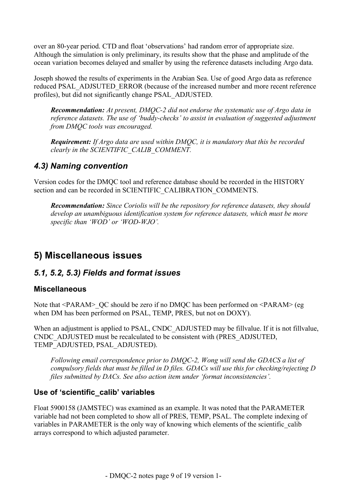over an 80-year period. CTD and float 'observations' had random error of appropriate size. Although the simulation is only preliminary, its results show that the phase and amplitude of the ocean variation becomes delayed and smaller by using the reference datasets including Argo data.

Joseph showed the results of experiments in the Arabian Sea. Use of good Argo data as reference reduced PSAL\_ADJSUTED\_ERROR (because of the increased number and more recent reference profiles), but did not significantly change PSAL\_ADJUSTED.

*Recommendation: At present, DMQC-2 did not endorse the systematic use of Argo data in reference datasets. The use of 'buddy-checks' to assist in evaluation of suggested adjustment from DMQC tools was encouraged.*

*Requirement: If Argo data are used within DMQC, it is mandatory that this be recorded clearly in the SCIENTIFIC\_CALIB\_COMMENT.*

#### *4.3) Naming convention*

Version codes for the DMQC tool and reference database should be recorded in the HISTORY section and can be recorded in SCIENTIFIC\_CALIBRATION\_COMMENTS.

*Recommendation: Since Coriolis will be the repository for reference datasets, they should develop an unambiguous identification system for reference datasets, which must be more specific than 'WOD' or 'WOD-WJO'.*

## **5) Miscellaneous issues**

#### *5.1, 5.2, 5.3) Fields and format issues*

#### **Miscellaneous**

Note that <PARAM> QC should be zero if no DMQC has been performed on <PARAM> (eg when DM has been performed on PSAL, TEMP, PRES, but not on DOXY).

When an adjustment is applied to PSAL, CNDC\_ADJUSTED may be fillvalue. If it is not fillvalue, CNDC\_ADJUSTED must be recalculated to be consistent with (PRES\_ADJSUTED, TEMP\_ADJUSTED, PSAL\_ADJUSTED).

*Following email correspondence prior to DMQC-2, Wong will send the GDACS a list of compulsory fields that must be filled in D files. GDACs will use this for checking/rejecting D files submitted by DACs. See also action item under 'format inconsistencies'.*

#### **Use of 'scientific\_calib' variables**

Float 5900158 (JAMSTEC) was examined as an example. It was noted that the PARAMETER variable had not been completed to show all of PRES, TEMP, PSAL. The complete indexing of variables in PARAMETER is the only way of knowing which elements of the scientific calib arrays correspond to which adjusted parameter.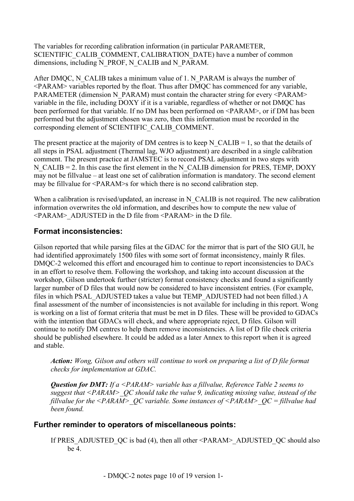The variables for recording calibration information (in particular PARAMETER, SCIENTIFIC\_CALIB\_COMMENT, CALIBRATION\_DATE) have a number of common dimensions, including N\_PROF, N\_CALIB and N\_PARAM.

After DMQC, N\_CALIB takes a minimum value of 1. N\_PARAM is always the number of <PARAM> variables reported by the float. Thus after DMQC has commenced for any variable, PARAMETER (dimension N\_PARAM) must contain the character string for every <PARAM> variable in the file, including DOXY if it is a variable, regardless of whether or not DMQC has been performed for that variable. If no DM has been performed on <PARAM>, or if DM has been performed but the adjustment chosen was zero, then this information must be recorded in the corresponding element of SCIENTIFIC\_CALIB\_COMMENT.

The present practice at the majority of DM centres is to keep N\_CALIB = 1, so that the details of all steps in PSAL adjustment (Thermal lag, WJO adjustment) are described in a single calibration comment. The present practice at JAMSTEC is to record PSAL adjustment in two steps with N\_CALIB = 2. In this case the first element in the N\_CALIB dimension for PRES, TEMP, DOXY may not be fillvalue – at least one set of calibration information is mandatory. The second element may be fillvalue for <PARAM>s for which there is no second calibration step.

When a calibration is revised/updated, an increase in N\_CALIB is not required. The new calibration information overwrites the old information, and describes how to compute the new value of  $\leq$ PARAM> ADJUSTED in the D file from  $\leq$ PARAM> in the D file.

#### **Format inconsistencies:**

Gilson reported that while parsing files at the GDAC for the mirror that is part of the SIO GUI, he had identified approximately 1500 files with some sort of format inconsistency, mainly R files. DMQC-2 welcomed this effort and encouraged him to continue to report inconsistencies to DACs in an effort to resolve them. Following the workshop, and taking into account discussion at the workshop, Gilson undertook further (stricter) format consistency checks and found a significantly larger number of D files that would now be considered to have inconsistent entries. (For example, files in which PSAL\_ADJUSTED takes a value but TEMP\_ADJUSTED had not been filled.) A final assessment of the number of inconsistencies is not available for including in this report. Wong is working on a list of format criteria that must be met in D files. These will be provided to GDACs with the intention that GDACs will check, and where appropriate reject, D files. Gilson will continue to notify DM centres to help them remove inconsistencies. A list of D file check criteria should be published elsewhere. It could be added as a later Annex to this report when it is agreed and stable.

*Action: Wong, Gilson and others will continue to work on preparing a list of D file format checks for implementation at GDAC.*

*Question for DMT: If a <PARAM> variable has a fillvalue, Reference Table 2 seems to suggest that <PARAM>\_QC should take the value 9, indicating missing value, instead of the fillvalue for the <PARAM>\_QC variable. Some instances of <PARAM>\_QC = fillvalue had been found.*

#### **Further reminder to operators of miscellaneous points:**

If PRES\_ADJUSTED\_OC is bad (4), then all other  $\leq$ PARAM $\geq$  ADJUSTED\_OC should also be 4.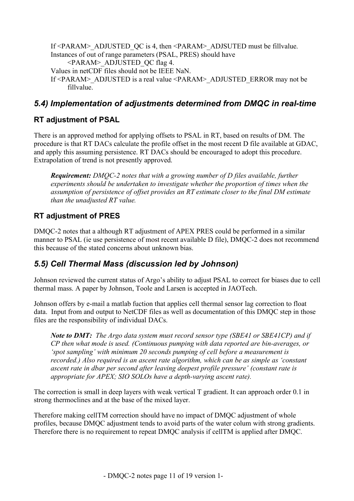If <PARAM>\_ADJUSTED\_QC is 4, then <PARAM>\_ADJSUTED must be fillvalue. Instances of out of range parameters (PSAL, PRES) should have <PARAM>\_ADJUSTED\_QC flag 4. Values in netCDF files should not be IEEE NaN. If <PARAM>\_ADJUSTED is a real value <PARAM>\_ADJUSTED\_ERROR may not be fillvalue.

### *5.4) Implementation of adjustments determined from DMQC in real-time*

#### **RT adjustment of PSAL**

There is an approved method for applying offsets to PSAL in RT, based on results of DM. The procedure is that RT DACs calculate the profile offset in the most recent D file available at GDAC, and apply this assuming persistence. RT DACs should be encouraged to adopt this procedure. Extrapolation of trend is not presently approved.

*Requirement: DMQC-2 notes that with a growing number of D files available, further experiments should be undertaken to investigate whether the proportion of times when the assumption of persistence of offset provides an RT estimate closer to the final DM estimate than the unadjusted RT value.*

### **RT adjustment of PRES**

DMQC-2 notes that a although RT adjustment of APEX PRES could be performed in a similar manner to PSAL (ie use persistence of most recent available D file), DMQC-2 does not recommend this because of the stated concerns about unknown bias.

### *5.5) Cell Thermal Mass (discussion led by Johnson)*

Johnson reviewed the current status of Argo's ability to adjust PSAL to correct for biases due to cell thermal mass. A paper by Johnson, Toole and Larsen is accepted in JAOTech.

Johnson offers by e-mail a matlab fuction that applies cell thermal sensor lag correction to float data. Input from and output to NetCDF files as well as documentation of this DMQC step in those files are the responsibility of individual DACs.

*Note to DMT: The Argo data system must record sensor type (SBE41 or SBE41CP) and if CP then what mode is used. (Continuous pumping with data reported are bin-averages, or 'spot sampling' with minimum 20 seconds pumping of cell before a measurement is recorded.) Also required is an ascent rate algorithm, which can be as simple as 'constant ascent rate in dbar per second after leaving deepest profile pressure' (constant rate is appropriate for APEX; SIO SOLOs have a depth-varying ascent rate).*

The correction is small in deep layers with weak vertical T gradient. It can approach order 0.1 in strong thermoclines and at the base of the mixed layer.

Therefore making cellTM correction should have no impact of DMQC adjustment of whole profiles, because DMQC adjustment tends to avoid parts of the water colum with strong gradients. Therefore there is no requirement to repeat DMQC analysis if cellTM is applied after DMQC.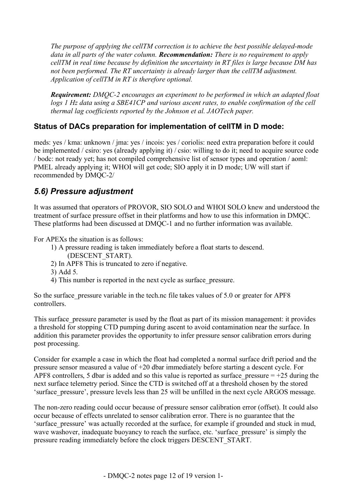*The purpose of applying the cellTM correction is to achieve the best possible delayed-mode data in all parts of the water column. Recommendation: There is no requirement to apply cellTM in real time because by definition the uncertainty in RT files is large because DM has not been performed. The RT uncertainty is already larger than the cellTM adjustment. Application of cellTM in RT is therefore optional.*

*Requirement: DMQC-2 encourages an experiment to be performed in which an adapted float logs 1 Hz data using a SBE41CP and various ascent rates, to enable confirmation of the cell thermal lag coefficients reported by the Johnson et al. JAOTech paper.*

#### **Status of DACs preparation for implementation of cellTM in D mode:**

meds: yes / kma: unknown / jma: yes / incois: yes / coriolis: need extra preparation before it could be implemented / csiro: yes (already applying it) / csio: willing to do it; need to acquire source code / bodc: not ready yet; has not compiled comprehensive list of sensor types and operation / aoml: PMEL already applying it; WHOI will get code; SIO apply it in D mode; UW will start if recommended by DMQC-2/

### *5.6) Pressure adjustment*

It was assumed that operators of PROVOR, SIO SOLO and WHOI SOLO knew and understood the treatment of surface pressure offset in their platforms and how to use this information in DMQC. These platforms had been discussed at DMQC-1 and no further information was available.

For APEXs the situation is as follows:

- 1) A pressure reading is taken immediately before a float starts to descend.
	- (DESCENT\_START).
- 2) In APF8 This is truncated to zero if negative.
- 3) Add 5.
- 4) This number is reported in the next cycle as surface\_pressure.

So the surface pressure variable in the tech.nc file takes values of 5.0 or greater for APF8 controllers.

This surface pressure parameter is used by the float as part of its mission management: it provides a threshold for stopping CTD pumping during ascent to avoid contamination near the surface. In addition this parameter provides the opportunity to infer pressure sensor calibration errors during post processing.

Consider for example a case in which the float had completed a normal surface drift period and the pressure sensor measured a value of +20 dbar immediately before starting a descent cycle. For APF8 controllers, 5 dbar is added and so this value is reported as surface pressure  $= +25$  during the next surface telemetry period. Since the CTD is switched off at a threshold chosen by the stored 'surface pressure', pressure levels less than 25 will be unfilled in the next cycle ARGOS message.

The non-zero reading could occur because of pressure sensor calibration error (offset). It could also occur because of effects unrelated to sensor calibration error. There is no guarantee that the 'surface\_pressure' was actually recorded at the surface, for example if grounded and stuck in mud, wave washover, inadequate buoyancy to reach the surface, etc. 'surface pressure' is simply the pressure reading immediately before the clock triggers DESCENT\_START.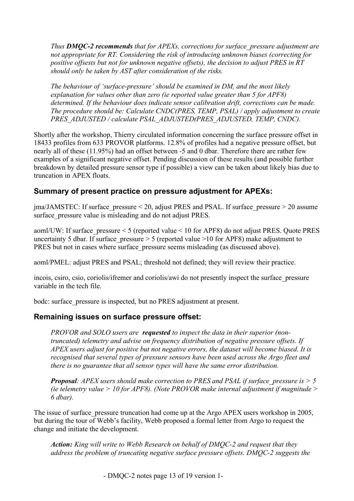*Thus DMQC-2 recommends that for APEXs, corrections for surface\_pressure adjustment are not appropriate for RT. Considering the risk of introducing unknown biases (correcting for positive offsests but not for unknown negative offsets), the decision to adjust PRES in RT should only be taken by AST after consideration of the risks.*

*The behaviour of 'surface-pressure' should be examined in DM, and the most likely explanation for values other than zero (ie reported value greater than 5 for APF8) determined. If the behaviour does indicate sensor calibration drift, corrections can be made. The procedure should be: Calculate CNDC(PRES, TEMP, PSAL) / apply adjustment to create PRES\_ADJUSTED / calculate PSAL\_ADJUSTED(PRES\_ADJUSTED, TEMP, CNDC).*

Shortly after the workshop, Thierry circulated information concerning the surface pressure offset in 18433 profiles from 633 PROVOR platforms. 12.8% of profiles had a negative pressure offset, but nearly all of these (11.95%) had an offset between -5 and 0 dbar. Therefore there are rather few examples of a significant negative offset. Pending discussion of these results (and possible further breakdown by detailed pressure sensor type if possible) a view can be taken about likely bias due to truncation in APEX floats.

#### **Summary of present practice on pressure adjustment for APEXs:**

 $j_{\text{max}}/J_{\text{AMSTEC}}$ : If surface pressure < 20, adjust PRES and PSAL. If surface pressure > 20 assume surface pressure value is misleading and do not adjust PRES.

aoml/UW: If surface\_pressure < 5 (reported value < 10 for APF8) do not adjust PRES. Quote PRES uncertainty 5 dbar. If surface pressure  $> 5$  (reported value  $>10$  for APF8) make adjustment to PRES but not in cases where surface pressure seems misleading (as discussed above).

aoml/PMEL: adjust PRES and PSAL; threshold not defined; they will review their practice.

incois, csiro, csio, coriolis/ifremer and coriolis/awi do not presently inspect the surface\_pressure variable in the tech file.

bodc: surface\_pressure is inspected, but no PRES adjustment at present.

#### **Remaining issues on surface pressure offset:**

*PROVOR and SOLO users are requested to inspect the data in their superior (nontruncated) telemetry and advise on frequency distribution of negative pressure offsets. If APEX users adjust for positive but not negative errors, the dataset will become biased. It is recognised that several types of pressure sensors have been used across the Argo fleet and there is no guarantee that all sensor types will have the same error distribution.*

*Proposal: APEX users should make correction to PRES and PSAL if surface\_pressure is > 5 (ie telemetry value > 10 for APF8). (Note PROVOR make internal adjustment if magnitude > 6 dbar).*

The issue of surface pressure truncation had come up at the Argo APEX users workshop in 2005, but during the tour of Webb's facility, Webb proposed a formal letter from Argo to request the change and initiate the development.

*Action: King will write to Webb Research on behalf of DMQC-2 and request that they address the problem of truncating negative surface pressure offsets. DMQC-2 suggests the*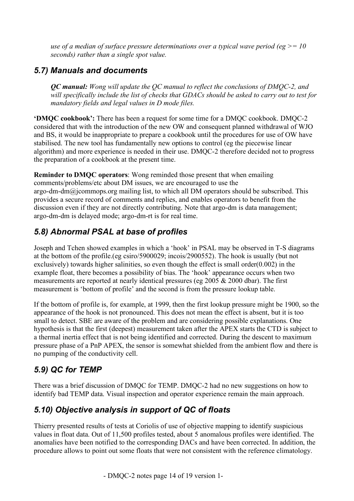*use of a median of surface pressure determinations over a typical wave period (eg >= 10 seconds) rather than a single spot value.*

### *5.7) Manuals and documents*

*QC manual: Wong will update the QC manual to reflect the conclusions of DMQC-2, and will specifically include the list of checks that GDACs should be asked to carry out to test for mandatory fields and legal values in D mode files.*

**'DMQC cookbook':** There has been a request for some time for a DMQC cookbook. DMQC-2 considered that with the introduction of the new OW and consequent planned withdrawal of WJO and BS, it would be inappropriate to prepare a cookbook until the procedures for use of OW have stabilised. The new tool has fundamentally new options to control (eg the piecewise linear algorithm) and more experience is needed in their use. DMQC-2 therefore decided not to progress the preparation of a cookbook at the present time.

**Reminder to DMQC operators**: Wong reminded those present that when emailing comments/problems/etc about DM issues, we are encouraged to use the argo-dm-dm@jcommops.org mailing list, to which all DM operators should be subscribed. This provides a secure record of comments and replies, and enables operators to benefit from the discussion even if they are not directly contributing. Note that argo-dm is data management; argo-dm-dm is delayed mode; argo-dm-rt is for real time.

### *5.8) Abnormal PSAL at base of profiles*

Joseph and Tchen showed examples in which a 'hook' in PSAL may be observed in T-S diagrams at the bottom of the profile.(eg csiro/5900029; incois/2900552). The hook is usually (but not exclusively) towards higher salinities, so even though the effect is small order(0.002) in the example float, there becomes a possibility of bias. The 'hook' appearance occurs when two measurements are reported at nearly identical pressures (eg 2005 & 2000 dbar). The first measurement is 'bottom of profile' and the second is from the pressure lookup table.

If the bottom of profile is, for example, at 1999, then the first lookup pressure might be 1900, so the appearance of the hook is not pronounced. This does not mean the effect is absent, but it is too small to detect. SBE are aware of the problem and are considering possible explanations. One hypothesis is that the first (deepest) measurement taken after the APEX starts the CTD is subject to a thermal inertia effect that is not being identified and corrected. During the descent to maximum pressure phase of a PnP APEX, the sensor is somewhat shielded from the ambient flow and there is no pumping of the conductivity cell.

### *5.9) QC for TEMP*

There was a brief discussion of DMQC for TEMP. DMQC-2 had no new suggestions on how to identify bad TEMP data. Visual inspection and operator experience remain the main approach.

### *5.10) Objective analysis in support of QC of floats*

Thierry presented results of tests at Coriolis of use of objective mapping to identify suspicious values in float data. Out of 11,500 profiles tested, about 5 anomalous profiles were identified. The anomalies have been notified to the corresponding DACs and have been corrected. In addition, the procedure allows to point out some floats that were not consistent with the reference climatology.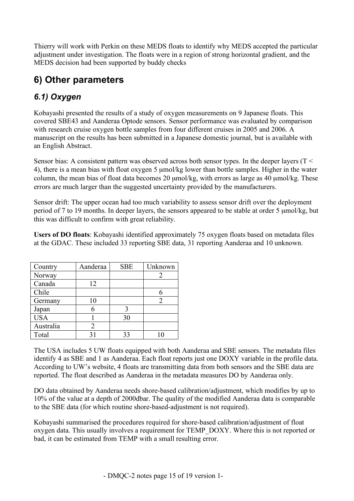Thierry will work with Perkin on these MEDS floats to identify why MEDS accepted the particular adjustment under investigation. The floats were in a region of strong horizontal gradient, and the MEDS decision had been supported by buddy checks

## **6) Other parameters**

## *6.1) Oxygen*

Kobayashi presented the results of a study of oxygen measurements on 9 Japanese floats. This covered SBE43 and Aanderaa Optode sensors. Sensor performance was evaluated by comparison with research cruise oxygen bottle samples from four different cruises in 2005 and 2006. A manuscript on the results has been submitted in a Japanese domestic journal, but is available with an English Abstract.

Sensor bias: A consistent pattern was observed across both sensor types. In the deeper layers (T < 4), there is a mean bias with float oxygen 5 µmol/kg lower than bottle samples. Higher in the water column, the mean bias of float data becomes 20 µmol/kg, with errors as large as 40 µmol/kg. These errors are much larger than the suggested uncertainty provided by the manufacturers.

Sensor drift: The upper ocean had too much variability to assess sensor drift over the deployment period of 7 to 19 months. In deeper layers, the sensors appeared to be stable at order 5 µmol/kg, but this was difficult to confirm with great reliability.

**Users of DO floats**: Kobayashi identified approximately 75 oxygen floats based on metadata files at the GDAC. These included 33 reporting SBE data, 31 reporting Aanderaa and 10 unknown.

| Country    | Aanderaa | <b>SBE</b> | Unknown |
|------------|----------|------------|---------|
| Norway     |          |            |         |
| Canada     | 12       |            |         |
| Chile      |          |            |         |
| Germany    | 10       |            |         |
| Japan      |          |            |         |
| <b>USA</b> |          | 30         |         |
| Australia  |          |            |         |
| Total      | 31       | 33         |         |

The USA includes 5 UW floats equipped with both Aanderaa and SBE sensors. The metadata files identify 4 as SBE and 1 as Aanderaa. Each float reports just one DOXY variable in the profile data. According to UW's website, 4 floats are transmitting data from both sensors and the SBE data are reported. The float described as Aanderaa in the metadata measures DO by Aanderaa only.

DO data obtained by Aanderaa needs shore-based calibration/adjustment, which modifies by up to 10% of the value at a depth of 2000dbar. The quality of the modified Aanderaa data is comparable to the SBE data (for which routine shore-based-adjustment is not required).

Kobayashi summarised the procedures required for shore-based calibration/adjustment of float oxygen data. This usually involves a requirement for TEMP\_DOXY. Where this is not reported or bad, it can be estimated from TEMP with a small resulting error.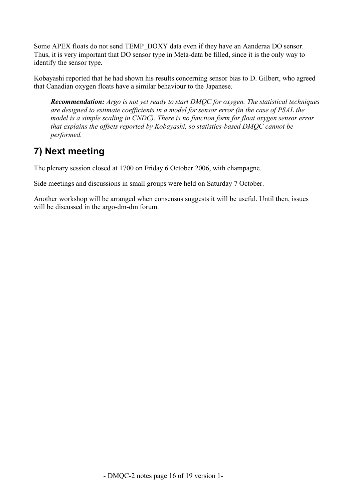Some APEX floats do not send TEMP\_DOXY data even if they have an Aanderaa DO sensor. Thus, it is very important that DO sensor type in Meta-data be filled, since it is the only way to identify the sensor type.

Kobayashi reported that he had shown his results concerning sensor bias to D. Gilbert, who agreed that Canadian oxygen floats have a similar behaviour to the Japanese.

*Recommendation: Argo is not yet ready to start DMQC for oxygen. The statistical techniques are designed to estimate coefficients in a model for sensor error (in the case of PSAL the model is a simple scaling in CNDC). There is no function form for float oxygen sensor error that explains the offsets reported by Kobayashi, so statistics-based DMQC cannot be performed.*

## **7) Next meeting**

The plenary session closed at 1700 on Friday 6 October 2006, with champagne.

Side meetings and discussions in small groups were held on Saturday 7 October.

Another workshop will be arranged when consensus suggests it will be useful. Until then, issues will be discussed in the argo-dm-dm forum.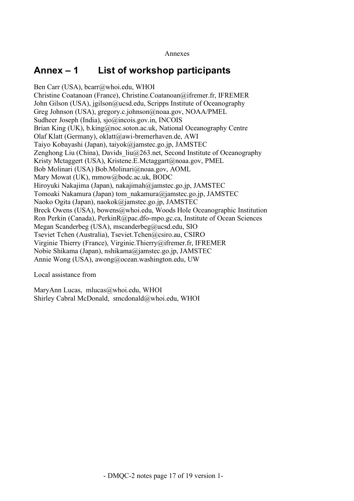## **Annex – 1 List of workshop participants**

Ben Carr (USA), bcarr@whoi.edu, WHOI Christine Coatanoan (France), Christine.Coatanoan@ifremer.fr, IFREMER John Gilson (USA), jgilson@ucsd.edu, Scripps Institute of Oceanography Greg Johnson (USA), gregory.c.johnson@noaa.gov, NOAA/PMEL Sudheer Joseph (India), sjo@incois.gov.in, INCOIS Brian King (UK), b.king@noc.soton.ac.uk, National Oceanography Centre Olaf Klatt (Germany), oklatt@awi-bremerhaven.de, AWI Taiyo Kobayashi (Japan), taiyok@jamstec.go.jp, JAMSTEC Zenghong Liu (China), Davids  $liu@263$ .net, Second Institute of Oceanography Kristy Mctaggert (USA), Kristene.E.Mctaggart@noaa.gov, PMEL Bob Molinari (USA) Bob.Molinari@noaa.gov, AOML Mary Mowat (UK), mmow@bodc.ac.uk, BODC Hiroyuki Nakajima (Japan), nakajimah@jamstec.go.jp, JAMSTEC Tomoaki Nakamura (Japan) tom\_nakamura@jamstec.go.jp, JAMSTEC Naoko Ogita (Japan), naokok@jamstec.go.jp, JAMSTEC Breck Owens (USA), bowens@whoi.edu, Woods Hole Oceanographic Institution Ron Perkin (Canada), PerkinR@pac.dfo-mpo.gc.ca, Institute of Ocean Sciences Megan Scanderbeg (USA), mscanderbeg@ucsd.edu, SIO Tseviet Tchen (Australia), Tseviet.Tchen@csiro.au, CSIRO Virginie Thierry (France), Virginie.Thierry@ifremer.fr, IFREMER Nobie Shikama (Japan), nshikama@jamstec.go.jp, JAMSTEC Annie Wong (USA), awong@ocean.washington.edu, UW

Local assistance from

MaryAnn Lucas, mlucas@whoi.edu, WHOI Shirley Cabral McDonald, smcdonald@whoi.edu, WHOI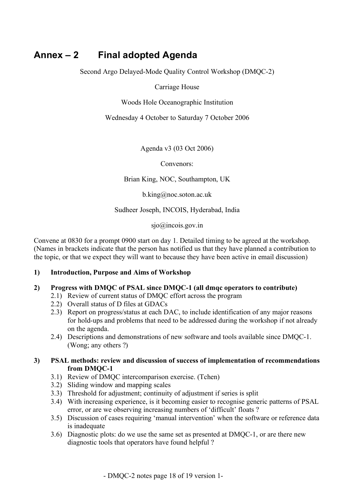## **Annex – 2 Final adopted Agenda**

Second Argo Delayed-Mode Quality Control Workshop (DMQC-2)

Carriage House

Woods Hole Oceanographic Institution

Wednesday 4 October to Saturday 7 October 2006

Agenda v3 (03 Oct 2006)

Convenors:

Brian King, NOC, Southampton, UK

b.king@noc.soton.ac.uk

Sudheer Joseph, INCOIS, Hyderabad, India

sjo@incois.gov.in

Convene at 0830 for a prompt 0900 start on day 1. Detailed timing to be agreed at the workshop. (Names in brackets indicate that the person has notified us that they have planned a contribution to the topic, or that we expect they will want to because they have been active in email discussion)

#### **1) Introduction, Purpose and Aims of Workshop**

#### **2) Progress with DMQC of PSAL since DMQC-1 (all dmqc operators to contribute)**

- 2.1) Review of current status of DMQC effort across the program
- 2.2) Overall status of D files at GDACs
- 2.3) Report on progress/status at each DAC, to include identification of any major reasons for hold-ups and problems that need to be addressed during the workshop if not already on the agenda.
- 2.4) Descriptions and demonstrations of new software and tools available since DMQC-1. (Wong; any others ?)

#### **3) PSAL methods: review and discussion of success of implementation of recommendations from DMQC-1**

- 3.1) Review of DMQC intercomparison exercise. (Tchen)
- 3.2) Sliding window and mapping scales
- 3.3) Threshold for adjustment; continuity of adjustment if series is split
- 3.4) With increasing experience, is it becoming easier to recognise generic patterns of PSAL error, or are we observing increasing numbers of 'difficult' floats ?
- 3.5) Discussion of cases requiring 'manual intervention' when the software or reference data is inadequate
- 3.6) Diagnostic plots: do we use the same set as presented at DMQC-1, or are there new diagnostic tools that operators have found helpful ?